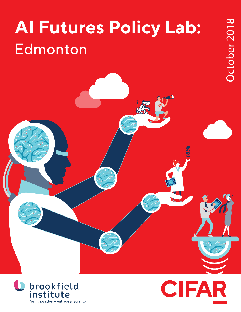# **AI Futures Policy Lab: Edmonton**



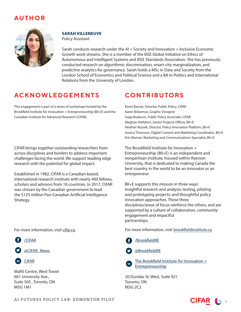# **AUTHOR**



## **SARAH VILLENEUVE**

Policy Assistant

Sarah conducts research under the AI + Society and Innovation + Inclusive Economic Growth work streams. She is a member of the IEEE Global Initiative on Ethics of Autonomous and Intelligent Systems and IEEE Standards Association. She has previously conducted research on algorithmic discrimination, smart-city marginalization, and predictive analytics for governance. Sarah holds a MSc in Data and Society from the London School of Economics and Political Science and a BA in Politics and International Relations from the University of London.

# **ACKNOWLEDGEMENTS**

This engagement is part of a series of workshops hosted by the Brookfield Institute for Innovation + Entrepreneurship (BII+E) and the Canadian Institute for Advanced Research (CIFAR).

CIFAR brings together outstanding researchers from across disciplines and borders to address important challenges facing the world. We support leading edge research with the potential for global impact.

Established in 1982, CIFAR is a Canadian-based, international research institute with nearly 400 fellows, scholars and advisors from 18 countries. In 2017, CIFAR was chosen by the Canadian government to lead the \$125 million Pan-Canadian Artificial Intelligence Strategy.

For more information, visit cifar.ca.





CIFAR

MaRS Centre, West Tower 661 University Ave., Suite 505 , Toronto, ON M5G 1M1

# **CONTRIBUTORS**

Brent Barron, Director, Public Policy, CIFAR Karen Birkemoe, Graphic Designer Gaga Boskovic, Public Policy Associate, CIFAR Meghan Hellstern, Senior Projects Officer, BII+E Heather Russek, Director, Policy Innovation Platform, BII+E Jessica Thomson, Digital Content and Marketing Coordinator, BII+E Erin Warner, Marketing and Communications Specialist, BII+E

The Brookfield Institute for Innovation + Entrepreneurship (BII+E) is an independent and nonpartisan institute, housed within Ryerson University, that is dedicated to making Canada the best country in the world to be an innovator or an entrepreneur.

BII+E supports this mission in three ways: insightful research and analysis; testing, piloting and prototyping projects; and thoughtful policy innovation approaches. These three disciplines/areas of focus reinforce the others, and are supported by a culture of collaboration, community engagement and impactful partnerships.

For more information, visit brookfieldinstitute.ca.





The Brookfield Institute for Innovation  $+$ Entrepreneurship

20 Dundas St. West, Suite 921 Toronto, ON M5G 2C2

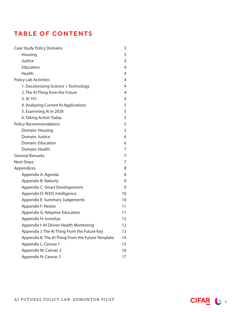# **TABLE OF CONTENTS**

| <b>Case Study Policy Domains</b>                  | 3  |
|---------------------------------------------------|----|
| Housing                                           | 3  |
| Justice                                           | 3  |
| Education                                         | 4  |
| Health                                            | 4  |
| <b>Policy Lab Activities</b>                      | 4  |
| 1. Decolonizing Science + Technology              | 4  |
| 2. The AI Thing from the Future                   | 4  |
| 3. AI 101                                         | 4  |
| 4. Analyzing Current Al Applications              | 5  |
| 5. Examining Al in 2028                           | 5  |
| 6. Taking Action Today                            | 5  |
| <b>Policy Recommendations</b>                     | 5  |
| Domain: Housing                                   | 5  |
| Domain: Justice                                   | 6  |
| Domain: Education                                 | 6  |
| Domain: Health                                    | 7  |
| <b>General Remarks</b>                            | 7  |
| <b>Next Steps</b>                                 | 7  |
| Appendices                                        | 8  |
| Appendix A: Agenda                                | 8  |
| Appendix B: Naborly                               | 9  |
| Appendix C: Smart Developement                    | 9  |
| Appendix D: ROSS Intelligence                     | 10 |
| Appendix E: Summary Judgements                    | 10 |
| Appendix F: Nestor                                | 11 |
| Appendix G: Adaptive Education                    | 11 |
| Appendix H: InnerEye                              | 12 |
| Appendix I: Al-Driven Health Monitoring           | 12 |
| Appendix J: The AI Thing From the Future Key      | 13 |
| Appendix K: The AI Thing From the Future Template | 14 |
| Appendix L: Canvas 1                              | 15 |
| Appendix M: Canvas 2                              | 16 |
| Appendix N: Canvas 3                              | 17 |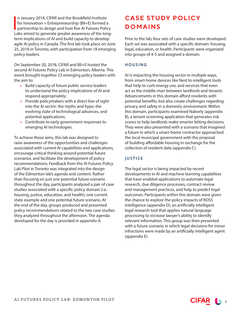In January 2018, CIFAR and the Brookfield Institute<br>for Innovation + Entrepreneurship (BII+E) formed a<br>partnership to design and host five AI Futures Police for Innovation + Entrepreneurship (BII+E) formed a partnership to design and host five AI Futures Policy Labs aimed to generate greater awareness of the longterm implications of AI and build capacity to develop agile AI policy in Canada. The first lab took place on June 25, 2018 in Toronto, with participation from 18 emerging policy leaders.

On September 20, 2018, CIFAR and BII+E hosted the second AI Futures Policy Lab in Edmonton, Alberta. This event brought together 23 emerging policy leaders with the aim to:

- + Build capacity of future public service leaders to understand the policy implications of AI and respond appropriately;
- + Provide policymakers with a direct line of sight into the AI sector: the myths and hype, the evolving state of technological advances, and potential applications;
- + Contribute to early government responses to emerging AI technologies.

To achieve these aims, this lab was designed to raise awareness of the opportunities and challenges associated with current AI capabilities and applications, encourage critical thinking around potential future scenarios, and facilitate the development of policy recommendations. Feedback from the AI Futures Policy Lab Pilot in Toronto was integrated into the design of the Edmonton lab's agenda and content. Rather than focusing on just one potential future scenario throughout the day, participants analyzed a pair of case studies associated with a specific policy domain (i.e. housing, justice, education, and health), one current state example and one potential future scenario. At the end of the day, groups produced and presented policy recommendations related to the two case studies they analyzed throughout the afternoon. The agenda developed for the day is provided in appendix A.

# **CASE STUDY POLICY DOMAINS**

Prior to the lab, four sets of case studies were developed. Each set was associated with a specific domain: housing, legal, education, or health. Participants were organized into groups of 4-5 and assigned a domain.

### HOUSING

AI is impacting the housing sector in multiple ways, from smart-home devices like Nest to intelligent tools that help to curb energy use, and services that even act as the middle-man between landlords and tenants. Advancements in this domain afford residents with potential benefits, but also create challenges regarding privacy and safety in a domestic environment. Within this domain, participants examined Naborly (appendix B), a tenant screening application that generates risk scores to help landlords make smarter letting decisions. They were also presented with a scenario that imagined a future in which a smart-home contractor approached the local municipal government with the proposal of building affordable housing in exchange for the collection of resident data (appendix C).

## JUSTICE

The legal sector is being impacted by recent developments in AI and machine learning capabilities that have enabled applications to automate legal research, due diligence processes, contract review and management practices, and help to predict legal outcomes. Participants within this domain were given the chance to explore the policy impacts of ROSS intelligence (appendix D), an artificially intelligent legal research tool that applies natural language processing to increase lawyer's ability to identify relevant information. This group was then presented with a future scenario in which legal decisions for minor infractions were made by an artificially intelligent agent (appendix E).

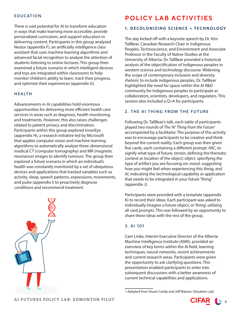#### EDUCATION

There is vast potential for AI to transform education in ways that make learning more accessible, provide personalized curriculum, and support educators in delivering content. Participants in this group analyzed Nestor (appendix F), an artificially intelligence class assistant that uses machine learning algorithms and advanced facial recognition to analyze the attention of students listening to online lectures. This group then examined a future scenario in which intelligent devices and toys are integrated within classrooms to help monitor children's ability to learn, track their progress, and optimize their experiences (appendix G).

#### HEALTH

Advancements in AI capabilities hold enormous opportunities for delivering more efficient health care services in areas such as diagnosis, health monitoring, and treatments. However, this also raises challenges related to patient privacy and discrimination. Participants within this group explored InnerEye (appendix H), a research initiative led by Microsoft that applies computer vision and machine learning algorithms to automatically analyze three-dimensional medical CT (computer tomography) and MR (magnetic resonance) images to identify tumours. The group then explored a future scenario in which an individual's health was constantly monitored by a set of ubiquitous devices and applications that tracked variables such as activity, sleep, speech patterns, expressions, movements, and pulse (appendix I) to proactively diagnose conditions and recommend treatment.



## **POLICY LAB ACTIVITIES**

#### **1. DECOLONIZING SCIENCE + TECHNOLOGY**

The day kicked off with a keynote speech by Dr. Kim TallBear, Canadian Research Chair in Indigenous Peoples, Technoscience, and Environment and Associate Professor in the Faculty of Native Studies at the University of Alberta. Dr. TallBear provided a historical analysis of the objectification of Indigenous peoples in western science and technology discourse. Widening the scope of contemporary inclusion and diversity rhetoric to include indigenous peoples, Dr. TallBear highlighted the need for space within the AI R&D community for Indigenous peoples to participate as collaborators, scientists, developers, and regulators. This session also included a Q+A for participants.

#### 2. THE AI THING FROM THE FUTURE

Following Dr. TallBear's talk, each table of participants played two rounds of *The 'AI' Thing from the Future1* accompanied by a facilitator. The purpose of this activity was to encourage participants to be creative and think beyond the current reality. Each group was then given five cards, each containing a different prompt: *ARC*, to signify what type of future; *terrain*, defining the thematic context or location of the object; *object*, specifying the type of artifact you are focusing on; *mood*, suggesting how you might feel when experiencing this thing; *and AI*, indicating the technological capability or application that needs to be integrated in your future "thing" (appendix J).

Participants were provided with a template (appendix K) to record their ideas. Each participant was asked to individually imagine a future object, or 'thing', utilizing all card prompts. This was followed by an opportunity to share these ideas with the rest of the group.

#### 3. AI 101

Cam Linke, Interim Executive Director of the Alberta Machine Intelligence Institute (AMII), provided an overview of key terms within the AI field, learning techniques, neural networks, recent achievements and current research areas. Participants were given the opportunity to ask clarifying questions. This presentation enabled participants to enter into subsequent discussions with a better awareness of current technical capabilities and applications.



<sup>1</sup> Adapted from Stuart Candy and Jeff Watson (Situation Lab)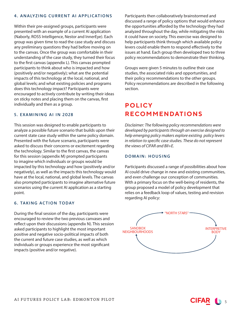#### 4. ANALYZING CURRENT AI APPLICATIONS

Within their pre-assigned groups, participants were presented with an example of a current AI application (Naborly, ROSS Intelligence, Nestor and InnerEye). Each group was given time to read the case study and discuss any preliminary questions they had before moving on to the canvas. Once the group was comfortable in their understanding of the case study, they turned their focus to the first canvas (appendix L). This canvas prompted participants to think about who is impacted and how (positively and/or negatively); what are the potential impacts of this technology at the local, national, and global levels; and what existing policies and programs does this technology impact? Participants were encouraged to actively contribute by writing their ideas on sticky notes and placing them on the canvas, first individually and then as a group.

#### 5. EXAMINING AI IN 2028

This session was designed to enable participants to analyze a possible future scenario that builds upon their current state case study within the same policy domain. Presented with the future scenario, participants were asked to discuss their concerns or excitement regarding the technology. Similar to the first canvas, the canvas for this session (appendix M) prompted participants to imagine which individuals or groups would be impacted by this technology and how (positively and/or negatively), as well as the impacts this technology would have at the local, national, and global levels. The canvas also prompted participants to imagine alternative future scenarios using the current AI application as a starting point.

#### 6. TAKING ACTION TODAY

During the final session of the day, participants were encouraged to review the two previous canvases and reflect upon their discussions (appendix N). This session asked participants to highlight the most important positive and negative socio-political impacts of both the current and future case studies, as well as which individuals or groups experience the most significant impacts (positive and/or negative).

Participants then collaboratively brainstormed and discussed a range of policy options that would enhance the opportunities afforded by the technology they had analyzed throughout the day, while mitigating the risks it could have on society. This exercise was designed to help participants think through which available policy levers could enable them to respond effectively to the issues at hand. Each group then developed two to three policy recommendations to demonstrate their thinking.

Groups were given 5 minutes to outline their case studies, the associated risks and opportunities, and their policy recommendations to the other groups. Policy recommendations are described in the following section.

# **POLICY RECOMMENDATIONS**

*Disclaimer: The following policy recommendations were developed by participants through an exercise designed to help emerging policy makers explore existing policy levers in relation to specific case studies. These do not represent the views of CIFAR and BII+E.* 

#### DOMAIN: HOUSING

Participants discussed a range of possibilities about how AI could drive change in new and existing communities, and even challenge our conception of communities. With a primary focus on the well-being of residents, the group proposed a model of policy development that relies on a feedback loop of values, testing and revision regarding AI policy:

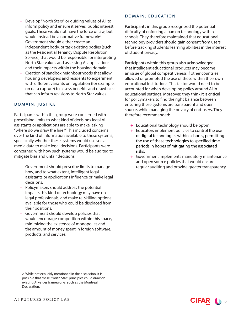- + Develop "North Stars", or guiding values of AI, to inform policy and ensure it serves public interest goals. These would not have the force of law, but would instead be a normative framework<sup>2</sup>.
- + Government should either create an independent body, or task existing bodies (such as the Residential Tenancy Dispute Resolution Service) that would be responsible for interpreting North Star values and assessing AI applications and their impacts within the housing domain.
- + Creation of sandbox neighbourhoods that allow housing developers and residents to experiment with different variants on regulation (for example, on data capture) to assess benefits and drawbacks that can inform revisions to North Star values.

## DOMAIN: JUSTICE

Participants within this group were concerned with prescribing limits to what kind of decisions legal AI assistants or applications are able to make, asking "where do we draw the line?" This included concerns over the kind of information available to these systems, specifically whether these systems would use social media data to make legal decisions. Participants were concerned with how such systems would be audited to mitigate bias and unfair decisions.

- + Government should prescribe limits to manage how, and to what extent, intelligent legal assistants or applications influence or make legal decisions.
- + Policymakers should address the potential impacts this kind of technology may have on legal professionals, and make re-skilling options available for those who could be displaced from their positions.
- + Government should develop policies that would encourage competition within this space, minimizing the existence of monopolies and the amount of money spent in foreign software, products, and services.

#### DOMAIN: EDUCATION

Participants in this group recognized the potential difficulty of enforcing a ban on technology within schools. They therefore maintained that educational technology providers should gain consent from users before tracking students' learning abilities in the interest of student privacy.

Participants within this group also acknowledged that intelligent educational products may become an issue of global competitiveness if other countries allowed or promoted the use of these within their own educational institutions. This factor would need to be accounted for when developing policy around AI in educational settings. Moreover, they think it is critical for policymakers to find the right balance between ensuring these systems are transparent and open source, while managing the privacy of end-users. They therefore recommended:

- + Educational technology should be opt-in.
- + Educators implement policies to control the use of digital technologies within schools, permitting the use of these technologies to specified time periods in hopes of mitigating the associated risks.
- + Government implements mandatory maintenance and open source policies that would ensure regular auditing and provide greater transparency.



<sup>2</sup> While not explicitly mentioned in the discussion, it is possible that these "North Star" principles could draw on existing AI values frameworks, such as the Montreal Declaration.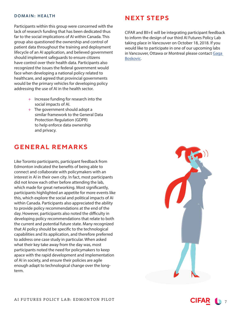#### DOMAIN: HEALTH

Participants within this group were concerned with the lack of research funding that has been dedicated thus far to the social implications of AI within Canada. This group also questioned the ownership and control of patient data throughout the training and deployment lifecycle of an AI application, and believed government should implement safeguards to ensure citizens have control over their health data. Participants also recognized the issues the federal government would face when developing a national policy related to healthcare, and agreed that provincial governments would be the primary vehicles for developing policy addressing the use of AI in the health sector.

- + Increase funding for research into the social impacts of AI.
- + The government should adopt a similar framework to the General Data Protection Regulation (GDPR) to help enforce data ownership and privacy.

## **GENERAL REMARKS**

Like Toronto participants, participant feedback from Edmonton indicated the benefits of being able to connect and collaborate with policymakers with an interest in AI in their own city. In fact, most participants did not know each other before attending the lab, which made for great networking. Most significantly, participants highlighted an appetite for more events like this, which explore the social and political impacts of AI within Canada. Participants also appreciated the ability to provide policy recommendations at the end of the day. However, participants also noted the difficulty in developing policy recommendations that relate to both the current and potential future state. Many recognized that AI policy should be specific to the technological capabilities and its application, and therefore preferred to address one case study in particular. When asked what their key take away from the day was, most participants noted the need for policymakers to keep apace with the rapid development and implementation of AI in society, and ensure their policies are agile enough adapt to technological change over the longterm.

## **NEXT STEPS**

CIFAR and BII+E will be integrating participant feedback to inform the design of our third AI Futures Policy Lab taking place in Vancouver on October 18, 2018. If you would like to participate in one of our upcoming labs in Vancouver, Ottawa or Montreal please contact Gaga Boskovic.



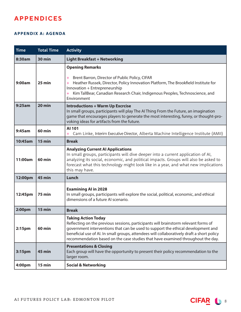# **APPENDICES**

#### **APPENDIX A: AGENDA**

| <b>Time</b>        | <b>Total Time</b> | <b>Activity</b>                                                                                                                                                                                                                                                                                                                                                                        |
|--------------------|-------------------|----------------------------------------------------------------------------------------------------------------------------------------------------------------------------------------------------------------------------------------------------------------------------------------------------------------------------------------------------------------------------------------|
| 8:30am             | <b>30 min</b>     | <b>Light Breakfast + Networking</b>                                                                                                                                                                                                                                                                                                                                                    |
| 9:00am             | 25 min            | <b>Opening Remarks</b><br>Brent Barron, Director of Public Policy, CIFAR<br>$+$<br>Heather Russek, Director, Policy Innovation Platform, The Brookfield Institute for<br>Innovation + Entrepreneurship<br>Kim TallBear, Canadian Research Chair, Indigenous Peoples, Technoscience, and<br>Environment                                                                                 |
| 9:25am             | $20$ min          | <b>Introductions + Warm Up Excrcise</b><br>In small groups, participants will play The AI Thing From the Future, an imagination<br>game that encourages players to generate the most interesting, funny, or thought-pro-<br>voking ideas for artifacts from the future.                                                                                                                |
| 9:45am             | <b>60 min</b>     | AI 101<br>Cam Linke, Interim Executive Director, Alberta Machine Intelligence Institute (AMII)                                                                                                                                                                                                                                                                                         |
| 10:45am            | $15$ min          | <b>Break</b>                                                                                                                                                                                                                                                                                                                                                                           |
| 11:00am            | <b>60 min</b>     | <b>Analyzing Current AI Applications</b><br>In small groups, participants will dive deeper into a current application of AI,<br>analyzing its social, economic, and political impacts. Groups will also be asked to<br>forecast what this technology might look like in a year, and what new implications<br>this may have.                                                            |
| 12:00pm            | 45 min            | Lunch                                                                                                                                                                                                                                                                                                                                                                                  |
| 12:45pm            | <b>75 min</b>     | <b>Examining AI in 2028</b><br>In small groups, participants will explore the social, political, economic, and ethical<br>dimensions of a future AI scenario.                                                                                                                                                                                                                          |
| 2:00pm             | 15 min            | <b>Break</b>                                                                                                                                                                                                                                                                                                                                                                           |
| 2:15 <sub>pm</sub> | <b>60 min</b>     | <b>Taking Action Today</b><br>Reflecting on the previous sessions, participants will brainstorm relevant forms of<br>government interventions that can be used to support the ethical development and<br>beneficial use of AI. In small groups, attendees will collaboratively draft a short policy<br>recommendation based on the case studies that have examined throughout the day. |
| 3:15pm             | 45 min            | <b>Presentations &amp; Closing</b><br>Each group will have the opportunity to present their policy recommendation to the<br>larger room.                                                                                                                                                                                                                                               |
| 4:00pm             | 15 min            | <b>Social &amp; Networking</b>                                                                                                                                                                                                                                                                                                                                                         |

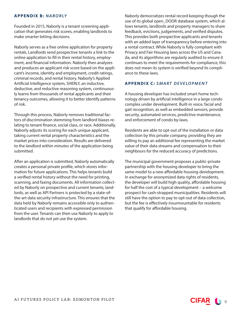#### **APPENDIX B:** *NABORLY*

Founded in 2015, Naborly is a tenant screening application that generates risk scores, enabling landlords to make smarter letting decisions.

Naborly serves as a free online application for property rentals. Landlords send prospective tenants a link to the online application to fill in their rental history, employment, and financial information. Naborly then analyzes and produces an applicant risk score based on the applicant's income, identity and employment, credit ratings, criminal records, and rental history. Naborly's Applied Artificial Intelligence system, SHERLY, an inductive, deductive, and reductive reasoning system, continuously learns from thousands of rental applicants and their tenancy outcomes, allowing it to better identify patterns of risk.

Through this process, Naborly removes traditional factors of discrimination stemming from landlord biases relating to tenant finance, social class, or race. Additionally, Naborly adjusts its scoring for each unique applicant, taking current rental property characteristics and the market prices into consideration. Results are delivered to the landlord within minutes of the application being submitted.

After an application is submitted, Naborly automatically creates a personal private profile, which stores information for future applications. This helps tenants build a verified rental history without the need for printing, scanning, and faxing documents. All information collected by Naborly on prospective and current tenants, landlords, as well as API Partners is protected by a state-ofthe-art data security infrastructure. This ensures that the data held by Naborly remains accessible only to authenticated users and recipients with expressed permission from the user. Tenants can then use Naborly to apply to landlords that do not yet use the system.

Naborly democratizes rental record keeping though the use of its global open\_DOOR database system, which allows tenants, landlords and property managers to share feedback, evictions, judgements, and verified disputes. This provides both prospective applicants and tenants with an added layer of transparency before entering into a rental contract. While Naborly is fully compliant with Privacy and Fair Housing laws across the US and Canada, and its algorithms are regularly audited to ensure it continues to meet the requirements for compliance, this does not mean its system is verified beyond its compliance to these laws.

#### **APPENDIX C:** *SMART DEVELOPMENT*

A housing developer has included smart home technology driven by artificial intelligence in a large condo complex under development. Built-in voice, facial and gait recognition, as well as embedded sensors, provide security, automated services, predictive maintenance, and enforcement of condo by-laws.

Residents are able to opt-out of the installation or data collection by this private company, providing they are willing to pay an additional fee representing the market value of their data streams and compensation to their neighbours for the reduced accuracy of predictions.

The municipal government proposes a public-private partnership with the housing developer to bring the same model to a new affordable housing development. In exchange for anonymized data rights of residents, the developer will build high quality, affordable housing for half the cost of a typical development – a welcome prospect for cash-strapped municipalities. Residents will still have the option to pay to opt-out of data collection, but the fee is effectively insurmountable for residents that qualify for affordable housing.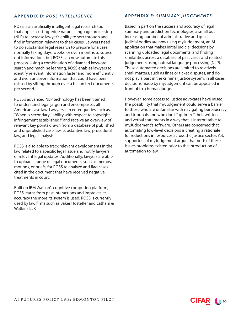#### **APPENDIX D:** *ROSS INTELLIGENCE*

ROSS is an artificially intelligent legal research tool that applies cutting-edge natural language processing (NLP) to increase lawyer's ability to sort through and find information relevant to their cases. Lawyers need to do substantial legal research to prepare for a case, normally taking days, weeks, or even months to source out information - but ROSS can now automate this process. Using a combination of advanced keyword search and machine learning, ROSS enables lawyers to identify relevant information faster and more efficiently, and even uncover information that could have been missed by sifting through over a billion text documents per second.

ROSS's advanced NLP technology has been trained to understand legal jargon and encompasses all American case law. Lawyers can enter queries such as, "When is secondary liability with respect to copyright infringement established?" and receive an overview of relevant key points drawn from a database of published and unpublished case law, substantive law, procedural law, and legal analysis.

ROSS is also able to track relevant developments in the law related to a specific legal issue and notify lawyers of relevant legal updates. Additionally, lawyers are able to upload a range of legal documents, such as memos, motions, or briefs, for ROSS to analyze and flag cases cited in the document that have received negative treatments in court.

Built on IBM Watson's cognitive computing platform, ROSS learns from past interactions and improves its accuracy the more its system is used. ROSS is currently used by law firms such as Baker Hostetler and Latham & Watkins LLP.

#### **APPENDIX E:** *SUMMARY JUDGEMENTS*

Based in part on the success and accuracy of legal summary and prediction technologies, a small but increasing number of administrative and quasijudicial bodies are now using myJudgement, an AI application that makes initial judicial decisions by scanning uploaded legal documents, and finding similarities across a database of past cases and related judgements using natural language processing (NLP). These automated decisions are limited to relatively small matters, such as fines or ticket disputes, and do not play a part in the criminal justice system. In all cases, decisions made by myJudgement can be appealed in front of to a human judge.

However, some access to justice advocates have raised the possibility that myJudgement could serve a barrier to those who are unfamiliar with navigating bureaucracy and tribunals and who don't "optimize" their written and verbal statements in a way that is interpretable to myJudgement's software. Others are concerned that automating low-level decisions is creating a rationale for reductions in resources across the justice sector. Yet, supporters of myJudgement argue that both of these issues problems existed prior to the introduction of automation to law.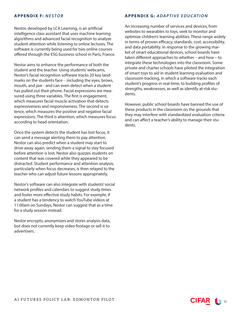#### **APPENDIX F:** *NESTOR*

Nestor, developed by LCA Learning, is an artificial intelligence class assistant that uses machine learning algorithms and advanced facial recognition to analyze student attention while listening to online lectures. The software is currently being used for two online courses offered through the ESG business school in Paris, France.

Nestor aims to enhance the performance of both the student and the teacher. Using students' webcams, Nestor's facial recognition software tracks 20 key landmarks on the students face - including the eyes, brows, mouth, and jaw - and can even detect when a student has pulled out their phone. Facial expressions are measured using three variables. The first is engagement, which measures facial muscle activation that detects expressiveness and responsiveness. The second is valence, which measures the positive and negative facial expressions. The third is attention, which measures focus according to head orientation.

Once the system detects the student has lost focus, it can send a message alerting them to pay attention. Nestor can also predict when a student may start to drive away again, sending them a signal to stay focused before attention is lost. Nestor also quizzes students on content that was covered while they appeared to be distracted. Student performance and attention analysis, particularly when focus decreases, is then relayed to the teacher who can adjust future lessons appropriately.

Nestor's software can also integrate with students' social network profiles and calendars to suggest study times and foster more effective study habits. For example, if a student has a tendency to watch YouTube videos at 11:00am on Sundays, Nestor can suggest that as a time for a study session instead.

Nestor encrypts, anonymizes and stores analysis data, but does not currently keep video footage or sell it to advertisers.

#### **APPENDIX G:** *ADAPTIVE EDUCATION*

An increasing number of services and devices, from websites to wearables to toys, seek to monitor and optimize children's learning abilities. These range widely in terms of proven efficacy, standards, cost, accessibility, and data portability. In response to the growing market of smart educational devices, school boards have taken different approaches to whether – and how – to integrate these technologies into the classroom. Some private and charter schools have piloted the integration of smart toys to aid in student learning evaluation and classroom-tracking, in which a software tracks each student's progress in real-time, to building profiles of strengths, weaknesses, as well as identify at-risk students.

However, public school boards have banned the use of these products in the classroom on the grounds that they may interfere with standardized evaluation criteria and can affect a teacher's ability to manage their students.

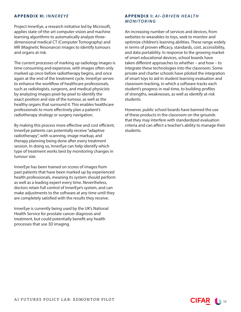#### **APPENDIX H:** *INNEREYE*

Project InnerEye, a research initiative led by Microsoft, applies state-of-the-art computer vision and machine learning algorithms to automatically analyze threedimensional medical CT (Computer Tomography) and MR (Magnetic Resonance) images to identify tumours and organs at risk.

The current processes of marking up radiology images is time consuming and expensive, with images often only marked up once before radiotherapy begins, and once again at the end of the treatment cycle. InnerEye serves to enhance the workflow of healthcare professionals, such as radiologists, surgeons, and medical physicists by analyzing images pixel-by-pixel to identify the exact position and size of the tumour, as well as the healthy organs that surround it. This enables healthcare professionals to more effectively plan a patient's radiotherapy strategy or surgery navigation.

By making this process more effective and cost efficient, InnerEye patients can potentially receive "adaptive radiotherapy", with scanning, image markup, and therapy planning being done after every treatment session. In doing so, InnerEye can help identify which type of treatment works best by monitoring changes in tumour size.

InnerEye has been trained on scores of images from past patients that have been marked up by experienced health professionals, meaning its system should perform as well as a leading expert every time. Nevertheless, doctors retain full control of InnerEye's system, and can make adjustments to the software at any time until they are completely satisfied with the results they receive.

InnerEye is currently being used by the UK's National Health Service for prostate cancer diagnosis and treatment, but could potentially benefit any health processes that use 3D imaging.

#### **APPENDIX I:** *AI-DRIVEN HEALTH MONITORING*

An increasing number of services and devices, from websites to wearables to toys, seek to monitor and optimize children's learning abilities. These range widely in terms of proven efficacy, standards, cost, accessibility, and data portability. In response to the growing market of smart educational devices, school boards have taken different approaches to whether – and how – to integrate these technologies into the classroom. Some private and charter schools have piloted the integration of smart toys to aid in student learning evaluation and classroom-tracking, in which a software tracks each student's progress in real-time, to building profiles of strengths, weaknesses, as well as identify at-risk students.

However, public school boards have banned the use of these products in the classroom on the grounds that they may interfere with standardized evaluation criteria and can affect a teacher's ability to manage their students.

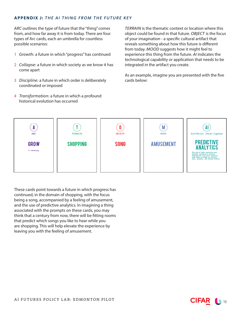#### **APPENDIX J:** *THE AI THING FROM THE FUTURE KEY*

*ARC* outlines the type of future that the "thing" comes from, and how far away it is from today. There are four types of Arc cards, each an umbrella for countless possible scenarios:

- 1 *Growth:* a future in which "progress" has continued
- 2 *Collapse:* a future in which society as we know it has come apart
- 3 *Discipline:* a future in which order is deliberately coordinated or imposed
- 4 *Transformation:* a future in which a profound historical evolution has occurred

*TERRAIN* is the thematic context or location where this object could be found in that future. *OBJECT* is the focus of your imagination - a specific cultural artifact that reveals something about how this future is different from today. *MOOD* suggests how it might feel to experience this thing from the future. *AI* indicates the technological capability or application that needs to be integrated in the artifact you create.

As an example, imagine you are presented with the five cards below:



These cards point towards a future in which progress has continued, in the domain of shopping, with the focus being a song, accompanied by a feeling of amusement, and the use of predictive analytics. In imagining a thing associated with the prompts on these cards, you may think that a century from now, there will be fitting rooms that predict which songs you like to hear while you are shopping. This will help elevate the experience by leaving you with the feeling of amusement.

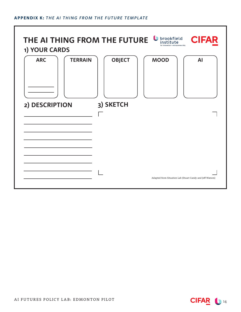#### **APPENDIX K:** *THE AI THING FROM THE FUTURE TEMPLATE*



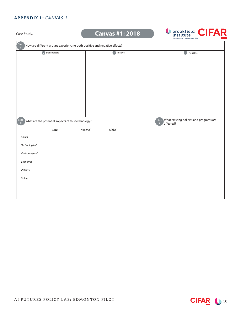#### **APPENDIX L:** *CANVAS 1*

Case Study.

# **Canvas #1: 2018**



| Step<br>How are different groups experiencing both positive and negative effects? |                                                                                         |               |  |  |
|-----------------------------------------------------------------------------------|-----------------------------------------------------------------------------------------|---------------|--|--|
| Stakeholders                                                                      | <b>D</b> Positive                                                                       | Negative<br>Œ |  |  |
|                                                                                   |                                                                                         |               |  |  |
|                                                                                   |                                                                                         |               |  |  |
|                                                                                   |                                                                                         |               |  |  |
|                                                                                   |                                                                                         |               |  |  |
|                                                                                   |                                                                                         |               |  |  |
|                                                                                   |                                                                                         |               |  |  |
|                                                                                   |                                                                                         |               |  |  |
|                                                                                   |                                                                                         |               |  |  |
| $\binom{\text{Step}}{2}$ What are the potential impacts of this technology?       | What existing policies and programs are<br>Step<br>affected?<br>$\overline{\mathbf{3}}$ |               |  |  |
| Local                                                                             | National<br>Global                                                                      |               |  |  |
| Social                                                                            |                                                                                         |               |  |  |
| Technological                                                                     |                                                                                         |               |  |  |
| Environmental                                                                     |                                                                                         |               |  |  |
| Economic                                                                          |                                                                                         |               |  |  |
| Political                                                                         |                                                                                         |               |  |  |
| Values                                                                            |                                                                                         |               |  |  |
|                                                                                   |                                                                                         |               |  |  |
|                                                                                   |                                                                                         |               |  |  |
|                                                                                   |                                                                                         |               |  |  |

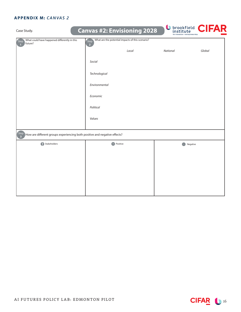## **APPENDIX M:** *CANVAS 2*

| Case Study.                                                                       |                        | <b>Canvas #2: Envisioning 2028</b>               | for innovation + entrepreneurship | <b>U</b> brookfield <b>CIFAR</b> |
|-----------------------------------------------------------------------------------|------------------------|--------------------------------------------------|-----------------------------------|----------------------------------|
| What could have happened differently in this<br>Step<br>future?                   | Step<br>$\overline{2}$ | What are the potential impacts of this scenario? |                                   |                                  |
|                                                                                   |                        | Local                                            | National                          | Global                           |
|                                                                                   | Social                 |                                                  |                                   |                                  |
|                                                                                   | Technological          |                                                  |                                   |                                  |
|                                                                                   | Environmental          |                                                  |                                   |                                  |
|                                                                                   | Economic               |                                                  |                                   |                                  |
|                                                                                   | Political              |                                                  |                                   |                                  |
|                                                                                   | Values                 |                                                  |                                   |                                  |
| Step<br>How are different groups experiencing both positive and negative effects? |                        |                                                  |                                   |                                  |
| Stakeholders                                                                      |                        | <b>Positive</b>                                  |                                   | Negative                         |
|                                                                                   |                        |                                                  |                                   |                                  |
|                                                                                   |                        |                                                  |                                   |                                  |
|                                                                                   |                        |                                                  |                                   |                                  |
|                                                                                   |                        |                                                  |                                   |                                  |
|                                                                                   |                        |                                                  |                                   |                                  |